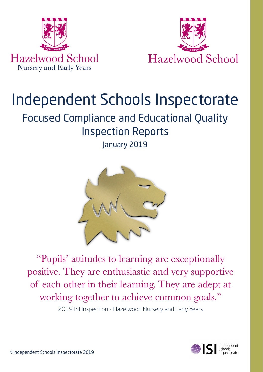



# Independent Schools Inspectorate

# Focused Compliance and Educational Quality Inspection Reports January 2019



"Pupils' attitudes to learning are exceptionally positive. They are enthusiastic and very supportive of each other in their learning. They are adept at working together to achieve common goals." 2019 ISI Inspection - Hazelwood Nursery and Early Years

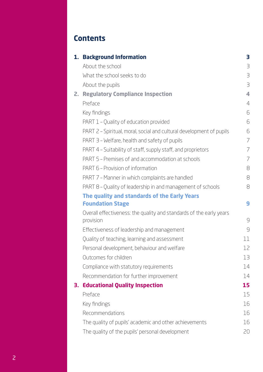# **Contents**

|    | 1. Background Information                                                        | з  |
|----|----------------------------------------------------------------------------------|----|
|    | About the school                                                                 | 3  |
|    | What the school seeks to do                                                      | 3  |
|    | About the pupils                                                                 | 3  |
| 2. | <b>Regulatory Compliance Inspection</b>                                          | 4  |
|    | Preface                                                                          | 4  |
|    | Key findings                                                                     | 6  |
|    | PART 1 - Quality of education provided                                           | 6  |
|    | PART 2 - Spiritual, moral, social and cultural development of pupils             | 6  |
|    | PART 3 - Welfare, health and safety of pupils                                    | 7  |
|    | PART 4 - Suitability of staff, supply staff, and proprietors                     | 7  |
|    | PART 5 – Premises of and accommodation at schools                                | 7  |
|    | PART 6 - Provision of information                                                | 8  |
|    | PART 7 - Manner in which complaints are handled                                  | 8  |
|    | PART 8 - Quality of leadership in and management of schools                      | 8  |
|    | The quality and standards of the Early Years                                     |    |
|    | <b>Foundation Stage</b>                                                          | 9  |
|    | Overall effectiveness: the quality and standards of the early years<br>provision | 9  |
|    | Effectiveness of leadership and management                                       | 9  |
|    | Quality of teaching, learning and assessment                                     | 11 |
|    | Personal development, behaviour and welfare                                      | 12 |
|    | Outcomes for children                                                            | 13 |
|    | Compliance with statutory requirements                                           | 14 |
|    | Recommendation for further improvement                                           | 14 |
| З. | <b>Educational Quality Inspection</b>                                            | 15 |
|    | Preface                                                                          | 15 |
|    | Key findings                                                                     | 16 |
|    | Recommendations                                                                  | 16 |
|    | The quality of pupils' academic and other achievements                           | 16 |
|    | The quality of the pupils' personal development                                  | 20 |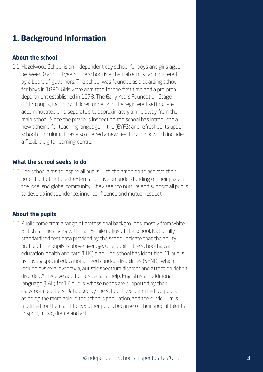# **1. Background Information**

#### **About the school**

1.1 Hazelwood School is an independent day school for boys and girls aged between 0 and 13 years. The school is a charitable trust administered by a board of governors. The school was founded as a boarding school for boys in 1890. Girls were admitted for the first time and a pre-prep department established in 1978. The Early Years Foundation Stage (EYFS) pupils, including children under 2 in the registered setting, are accommodated on a separate site approximately a mile away from the main school. Since the previous inspection the school has introduced a new scheme for teaching language in the (EYFS) and refreshed its upper school curriculum. It has also opened a new teaching block which includes a flexible digital learning centre.

#### **What the school seeks to do**

1.2 The school aims to inspire all pupils with the ambition to achieve their potential to the fullest extent and have an understanding of their place in the local and global community. They seek to nurture and support all pupils to develop independence, inner confidence and mutual respect.

#### **About the pupils**

1.3 Pupils come from a range of professional backgrounds, mostly from white British families living within a 15-mile radius of the school. Nationally standardised test data provided by the school indicate that the ability profile of the pupils is above average. One pupil in the school has an education, health and care (EHC) plan. The school has identified 41 pupils as having special educational needs and/or disabilities (SEND), which include dyslexia, dyspraxia, autistic spectrum disorder and attention deficit disorder. All receive additional specialist help. English is an additional language (EAL) for 12 pupils, whose needs are supported by their classroom teachers. Data used by the school have identified 90 pupils as being the more able in the school's population, and the curriculum is modified for them and for 55 other pupils because of their special talents in sport, music, drama and art.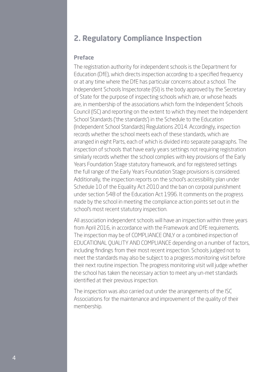# **2. Regulatory Compliance Inspection**

#### **Preface**

The registration authority for independent schools is the Department for Education (DfE), which directs inspection according to a specified frequency or at any time where the DfE has particular concerns about a school. The Independent Schools Inspectorate (ISI) is the body approved by the Secretary of State for the purpose of inspecting schools which are, or whose heads are, in membership of the associations which form the Independent Schools Council (ISC) and reporting on the extent to which they meet the Independent School Standards ('the standards') in the Schedule to the Education (Independent School Standards) Regulations 2014. Accordingly, inspection records whether the school meets each of these standards, which are arranged in eight Parts, each of which is divided into separate paragraphs. The inspection of schools that have early years settings not requiring registration similarly records whether the school complies with key provisions of the Early Years Foundation Stage statutory framework, and for registered settings the full range of the Early Years Foundation Stage provisions is considered. Additionally, the inspection reports on the school's accessibility plan under Schedule 10 of the Equality Act 2010 and the ban on corporal punishment under section 548 of the Education Act 1996. It comments on the progress made by the school in meeting the compliance action points set out in the school's most recent statutory inspection.

All association independent schools will have an inspection within three years from April 2016, in accordance with the Framework and DfE requirements. The inspection may be of COMPLIANCE ONLY or a combined inspection of EDUCATIONAL QUALITY AND COMPLIANCE depending on a number of factors, including findings from their most recent inspection. Schools judged not to meet the standards may also be subject to a progress monitoring visit before their next routine inspection. The progress monitoring visit will judge whether the school has taken the necessary action to meet any un-met standards identified at their previous inspection.

The inspection was also carried out under the arrangements of the ISC Associations for the maintenance and improvement of the quality of their membership.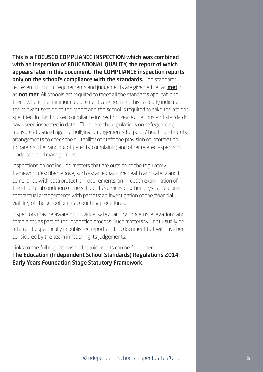This is a FOCUSED COMPLIANCE INSPECTION which was combined with an inspection of EDUCATIONAL QUALITY, the report of which appears later in this document. The COMPLIANCE inspection reports only on the school's compliance with the standards. The standards represent minimum requirements and judgements are given either as **met** or as not met. All schools are required to meet all the standards applicable to them. Where the minimum requirements are not met, this is clearly indicated in the relevant section of the report and the school is required to take the actions specified. In this focused compliance inspection, key regulations and standards have been inspected in detail. These are the regulations on safeguarding; measures to guard against bullying; arrangements for pupils' health and safety, arrangements to check the suitability of staff; the provision of information to parents; the handling of parents' complaints; and other related aspects of leadership and management.

Inspections do not include matters that are outside of the regulatory framework described above, such as: an exhaustive health and safety audit; compliance with data protection requirements; an in-depth examination of the structural condition of the school, its services or other physical features; contractual arrangements with parents; an investigation of the financial viability of the school or its accounting procedures.

Inspectors may be aware of individual safeguarding concerns, allegations and complaints as part of the inspection process. Such matters will not usually be referred to specifically in published reports in this document but will have been considered by the team in reaching its judgements.

Links to the full regulations and requirements can be found here: The Education (Independent School Standards) Regulations 2014, Early Years Foundation Stage Statutory Framework.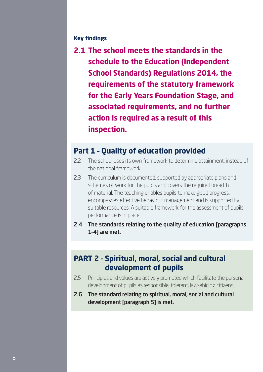#### **Key findings**

**2.1 The school meets the standards in the schedule to the Education (Independent School Standards) Regulations 2014, the requirements of the statutory framework for the Early Years Foundation Stage, and associated requirements, and no further action is required as a result of this inspection.**

## **Part 1 – Quality of education provided**

- 2.2 The school uses its own framework to determine attainment, instead of the national framework.
- 2.3 The curriculum is documented, supported by appropriate plans and schemes of work for the pupils and covers the required breadth of material. The teaching enables pupils to make good progress, encompasses effective behaviour management and is supported by suitable resources. A suitable framework for the assessment of pupils' performance is in place.
- 2.4 The standards relating to the quality of education [paragraphs 1–4] are met.

## **PART 2 – Spiritual, moral, social and cultural development of pupils**

- 2.5 Principles and values are actively promoted which facilitate the personal development of pupils as responsible, tolerant, law-abiding citizens.
- 2.6 The standard relating to spiritual, moral, social and cultural development [paragraph 5] is met.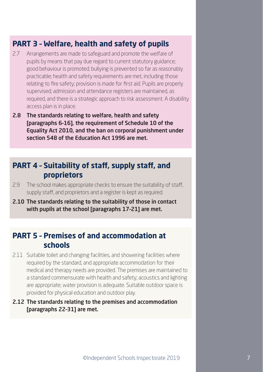# **PART 3 – Welfare, health and safety of pupils**

- 2.7 Arrangements are made to safeguard and promote the welfare of pupils by means that pay due regard to current statutory guidance; good behaviour is promoted; bullying is prevented so far as reasonably practicable; health and safety requirements are met, including those relating to fire safety; provision is made for first aid. Pupils are properly supervised; admission and attendance registers are maintained, as required, and there is a strategic approach to risk assessment. A disability access plan is in place.
- 2.8 The standards relating to welfare, health and safety [paragraphs 6–16], the requirement of Schedule 10 of the Equality Act 2010, and the ban on corporal punishment under section 548 of the Education Act 1996 are met.

# **PART 4 – Suitability of staff, supply staff, and proprietors**

- 2.9 The school makes appropriate checks to ensure the suitability of staff, supply staff, and proprietors and a register is kept as required.
- 2.10 The standards relating to the suitability of those in contact with pupils at the school [paragraphs 17–21] are met.

# **PART 5 – Premises of and accommodation at schools**

- 2.11 Suitable toilet and changing facilities, and showering facilities where required by the standard, and appropriate accommodation for their medical and therapy needs are provided. The premises are maintained to a standard commensurate with health and safety; acoustics and lighting are appropriate; water provision is adequate. Suitable outdoor space is provided for physical education and outdoor play.
- 2.12 The standards relating to the premises and accommodation [paragraphs 22–31] are met.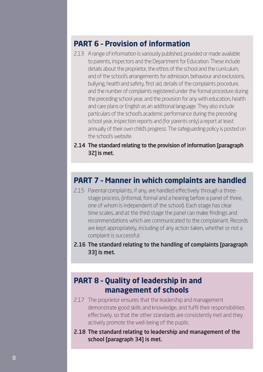## **PART 6 – Provision of information**

- 2.13 A range of information is variously published, provided or made available to parents, inspectors and the Department for Education. These include details about the proprietor, the ethos of the school and the curriculum, and of the school's arrangements for admission, behaviour and exclusions, bullying, health and safety, first aid, details of the complaints procedure, and the number of complaints registered under the formal procedure during the preceding school year, and the provision for any with education, health and care plans or English as an additional language. They also include particulars of the school's academic performance during the preceding school year, inspection reports and (for parents only) a report at least annually of their own child's progress. The safeguarding policy is posted on the school's website.
- 2.14 The standard relating to the provision of information [paragraph 32] is met.

### **PART 7 – Manner in which complaints are handled**

- 2.15 Parental complaints, if any, are handled effectively through a threestage process, (informal, formal and a hearing before a panel of three, one of whom is independent of the school). Each stage has clear time scales, and at the third stage the panel can make findings and recommendations which are communicated to the complainant. Records are kept appropriately, including of any action taken, whether or not a complaint is successful.
- 2.16 The standard relating to the handling of complaints [paragraph 33] is met.

# **PART 8 – Quality of leadership in and management of schools**

- 2.17 The proprietor ensures that the leadership and management demonstrate good skills and knowledge, and fulfil their responsibilities effectively, so that the other standards are consistently met and they actively promote the well-being of the pupils.
- 2.18 The standard relating to leadership and management of the school [paragraph 34] is met.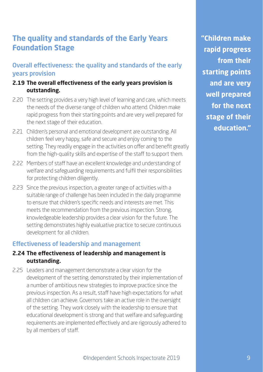# **The quality and standards of the Early Years Foundation Stage**

#### Overall effectiveness: the quality and standards of the early years provision

#### **2.19 The overall effectiveness of the early years provision is outstanding.**

- 2.20 The setting provides a very high level of learning and care, which meets the needs of the diverse range of children who attend. Children make rapid progress from their starting points and are very well prepared for the next stage of their education.
- 2.21 Children's personal and emotional development are outstanding. All children feel very happy, safe and secure and enjoy coming to the setting. They readily engage in the activities on offer and benefit greatly from the high-quality skills and expertise of the staff to support them.
- 2.22 Members of staff have an excellent knowledge and understanding of welfare and safeguarding requirements and fulfil their responsibilities for protecting children diligently.
- 2.23 Since the previous inspection, a greater range of activities with a suitable range of challenge has been included in the daily programme to ensure that children's specific needs and interests are met. This meets the recommendation from the previous inspection. Strong, knowledgeable leadership provides a clear vision for the future. The setting demonstrates highly evaluative practice to secure continuous development for all children.

#### Effectiveness of leadership and management

#### **2.24 The effectiveness of leadership and management is outstanding.**

2.25 Leaders and management demonstrate a clear vision for the development of the setting, demonstrated by their implementation of a number of ambitious new strategies to improve practice since the previous inspection. As a result, staff have high expectations for what all children can achieve. Governors take an active role in the oversight of the setting. They work closely with the leadership to ensure that educational development is strong and that welfare and safeguarding requirements are implemented effectively and are rigorously adhered to by all members of staff.

**"Children make rapid progress from their starting points and are very well prepared for the next stage of their education."**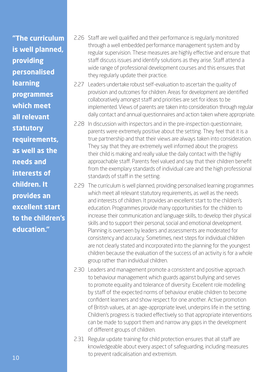**"The curriculum is well planned, providing personalised learning programmes which meet all relevant statutory requirements, as well as the needs and interests of children. It provides an excellent start to the children's education."**

- 2.26 Staff are well qualified and their performance is regularly monitored through a well embedded performance management system and by regular supervision. These measures are highly effective and ensure that staff discuss issues and identify solutions as they arise. Staff attend a wide range of professional development courses and this ensures that they regularly update their practice.
- 2.27 Leaders undertake robust self-evaluation to ascertain the quality of provision and outcomes for children. Areas for development are identified collaboratively amongst staff and priorities are set for ideas to be implemented. Views of parents are taken into consideration through regular daily contact and annual questionnaires and action taken where appropriate.
- 2.28 In discussion with inspectors and in the pre-inspection questionnaire, parents were extremely positive about the setting. They feel that it is a true partnership and that their views are always taken into consideration. They say that they are extremely well informed about the progress their child is making and really value the daily contact with the highly approachable staff. Parents feel valued and say that their children benefit from the exemplary standards of individual care and the high professional standards of staff in the setting.
- 2.29 The curriculum is well planned, providing personalised learning programmes which meet all relevant statutory requirements, as well as the needs and interests of children. It provides an excellent start to the children's education. Programmes provide many opportunities for the children to increase their communication and language skills, to develop their physical skills and to support their personal, social and emotional development. Planning is overseen by leaders and assessments are moderated for consistency and accuracy. Sometimes, next steps for individual children are not clearly stated and incorporated into the planning for the youngest children because the evaluation of the success of an activity is for a whole group rather than individual children.
- 2.30 Leaders and management promote a consistent and positive approach to behaviour management which guards against bullying and serves to promote equality and tolerance of diversity. Excellent role modelling by staff of the expected norms of behaviour enable children to become confident learners and show respect for one another. Active promotion of British values, at an age-appropriate level, underpins life in the setting. Children's progress is tracked effectively so that appropriate interventions can be made to support them and narrow any gaps in the development of different groups of children.
- 2.31 Regular update training for child protection ensures that all staff are knowledgeable about every aspect of safeguarding, including measures to prevent radicalisation and extremism.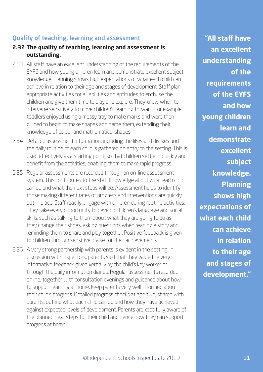#### Quality of teaching, learning and assessment

- **2.32 The quality of teaching, learning and assessment is outstanding.**
- 2.33 All staff have an excellent understanding of the requirements of the EYFS and how young children learn and demonstrate excellent subject knowledge. Planning shows high expectations of what each child can achieve in relation to their age and stages of development. Staff plan appropriate activities for all abilities and aptitudes to enthuse the children and give them time to play and explore. They know when to intervene sensitively to move children's learning forward. For example, toddlers enjoyed using a messy tray to make marks and were then guided to begin to make shapes and name them, extending their knowledge of colour and mathematical shapes.
- 2.34 Detailed assessment information, including the likes and dislikes and the daily routine of each child is gathered on entry to the setting. This is used effectively as a starting point, so that children settle in quickly and benefit from the activities, enabling them to make rapid progress.
- 2.35 Regular assessments are recorded through an on-line assessment system. This contributes to the staff knowledge about what each child can do and what the next steps will be. Assessment helps to identify those making different rates of progress and interventions are quickly put in place. Staff readily engage with children during routine activities. They take every opportunity to develop children's language and social skills, such as talking to them about what they are going to do as they change their shoes, asking questions when reading a story and reminding them to share and play together. Positive feedback is given to children through sensitive praise for their achievements.
- 2.36 A very strong partnership with parents is evident in the setting. In discussion with inspectors, parents said that they value the very informative feedback given verbally by the child's key worker or through the daily information diaries. Regular assessments recorded online, together with consultation evenings and guidance about how to support learning at home, keep parents very well informed about their child's progress. Detailed progress checks at age two, shared with parents, outline what each child can do and how they have achieved against expected levels of development. Parents are kept fully aware of the planned next steps for their child and hence how they can support progress at home.

**"All staff have an excellent understanding of the requirements of the EYFS and how young children learn and demonstrate excellent subject knowledge. Planning shows high expectations of what each child can achieve in relation to their age and stages of development."**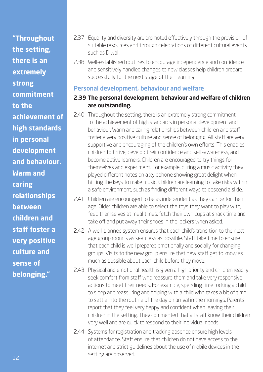**"Throughout the setting,** 

**there is an extremely** 

**strong** 

**commitment** 

**to the** 

**achievement of** 

**high standards** 

**in personal** 

**development** 

**and behaviour.** 

**Warm and** 

**caring** 

**relationships** 

**between** 

**children and** 

**staff foster a** 

**very positive** 

**culture and** 

**sense of** 

**belonging."**

- 2.37 Equality and diversity are promoted effectively through the provision of suitable resources and through celebrations of different cultural events such as Diwali.
- 2.38 Well-established routines to encourage independence and confidence and sensitively handled changes to new classes help children prepare successfully for the next stage of their learning.

#### Personal development, behaviour and welfare

#### **2.39 The personal development, behaviour and welfare of children are outstanding.**

- 2.40 Throughout the setting, there is an extremely strong commitment to the achievement of high standards in personal development and behaviour. Warm and caring relationships between children and staff foster a very positive culture and sense of belonging. All staff are very supportive and encouraging of the children's own efforts. This enables children to thrive, develop their confidence and self-awareness, and become active learners. Children are encouraged to try things for themselves and experiment. For example, during a music activity they played different notes on a xylophone showing great delight when hitting the keys to make music. Children are learning to take risks within a safe environment, such as finding different ways to descend a slide.
- 2.41 Children are encouraged to be as independent as they can be for their age. Older children are able to select the toys they want to play with, feed themselves at meal times, fetch their own cups at snack time and take off and put away their shoes in the lockers when asked.
- 2.42 A well-planned system ensures that each child's transition to the next age group room is as seamless as possible. Staff take time to ensure that each child is well prepared emotionally and socially for changing groups. Visits to the new group ensure that new staff get to know as much as possible about each child before they move.
- 2.43 Physical and emotional health is given a high priority and children readily seek comfort from staff who reassure them and take very responsive actions to meet their needs. For example, spending time rocking a child to sleep and reassuring and helping with a child who takes a bit of time to settle into the routine of the day on arrival in the mornings. Parents report that they feel very happy and confident when leaving their children in the setting. They commented that all staff know their children very well and are quick to respond to their individual needs.
- 2.44 Systems for registration and tracking absence ensure high levels of attendance. Staff ensure that children do not have access to the internet and strict guidelines about the use of mobile devices in the setting are observed.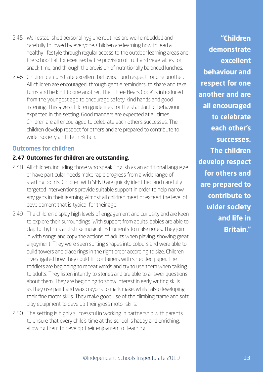- 2.45 Well established personal hygiene routines are well embedded and carefully followed by everyone. Children are learning how to lead a healthy lifestyle through regular access to the outdoor learning areas and the school hall for exercise; by the provision of fruit and vegetables for snack time; and through the provision of nutritionally balanced lunches.
- 2.46 Children demonstrate excellent behaviour and respect for one another. All children are encouraged, through gentle reminders, to share and take turns and be kind to one another. The 'Three Bears Code' is introduced from the youngest age to encourage safety, kind hands and good listening. This gives children guidelines for the standard of behaviour expected in the setting. Good manners are expected at all times. Children are all encouraged to celebrate each other's successes. The children develop respect for others and are prepared to contribute to wider society and life in Britain.

#### Outcomes for children

#### **2.47 Outcomes for children are outstanding.**

- 2.48 All children, including those who speak English as an additional language or have particular needs make rapid progress from a wide range of starting points. Children with SEND are quickly identified and carefully targeted interventions provide suitable support in order to help narrow any gaps in their learning. Almost all children meet or exceed the level of development that is typical for their age.
- 2.49 The children display high levels of engagement and curiosity and are keen to explore their surroundings. With support from adults, babies are able to clap to rhythms and strike musical instruments to make notes. They join in with songs and copy the actions of adults when playing, showing great enjoyment. They were seen sorting shapes into colours and were able to build towers and place rings in the right order according to size. Children investigated how they could fill containers with shredded paper. The toddlers are beginning to repeat words and try to use them when talking to adults. They listen intently to stories and are able to answer questions about them. They are beginning to show interest in early writing skills as they use paint and wax crayons to mark make, whilst also developing their fine motor skills. They make good use of the climbing frame and soft play equipment to develop their gross motor skills.
- 2.50 The setting is highly successful in working in partnership with parents to ensure that every child's time at the school is happy and enriching, allowing them to develop their enjoyment of learning.

**"Children demonstrate excellent behaviour and respect for one another and are all encouraged to celebrate each other's successes. The children develop respect for others and are prepared to contribute to wider society and life in Britain."**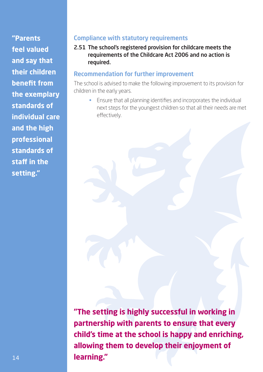**"Parents feel valued and say that their children benefit from the exemplary standards of individual care and the high professional standards of staff in the setting."**

#### Compliance with statutory requirements

2.51 The school's registered provision for childcare meets the requirements of the Childcare Act 2006 and no action is required.

#### Recommendation for further improvement

The school is advised to make the following improvement to its provision for children in the early years.

• Ensure that all planning identifies and incorporates the individual next steps for the youngest children so that all their needs are met effectively.

**"The setting is highly successful in working in partnership with parents to ensure that every child's time at the school is happy and enriching, allowing them to develop their enjoyment of learning."**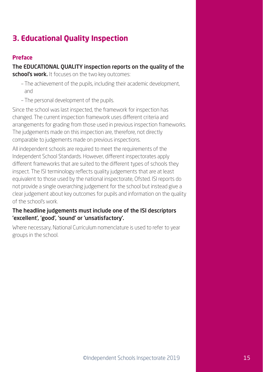# **3. Educational Quality Inspection**

#### **Preface**

#### The EDUCATIONAL QUALITY inspection reports on the quality of the

school's work. It focuses on the two key outcomes:

- The achievement of the pupils, including their academic development, and
- The personal development of the pupils.

Since the school was last inspected, the framework for inspection has changed. The current inspection framework uses different criteria and arrangements for grading from those used in previous inspection frameworks. The judgements made on this inspection are, therefore, not directly comparable to judgements made on previous inspections.

All independent schools are required to meet the requirements of the Independent School Standards. However, different inspectorates apply different frameworks that are suited to the different types of schools they inspect. The ISI terminology reflects quality judgements that are at least equivalent to those used by the national inspectorate, Ofsted. ISI reports do not provide a single overarching judgement for the school but instead give a clear judgement about key outcomes for pupils and information on the quality of the school's work.

#### The headline judgements must include one of the ISI descriptors 'excellent', 'good', 'sound' or 'unsatisfactory'.

Where necessary, National Curriculum nomenclature is used to refer to year groups in the school.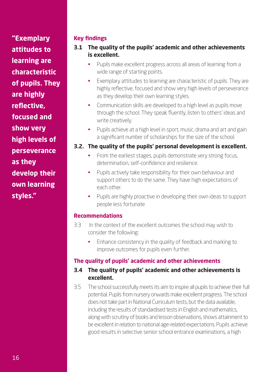**"Exemplary attitudes to learning are characteristic of pupils. They are highly reflective, focused and show very high levels of perseverance as they develop their own learning styles."**

#### **Key findings**

- **3.1 The quality of the pupils' academic and other achievements is excellent.**
	- Pupils make excellent progress across all areas of learning from a wide range of starting points.
	- Exemplary attitudes to learning are characteristic of pupils. They are highly reflective, focused and show very high levels of perseverance as they develop their own learning styles.
	- Communication skills are developed to a high level as pupils move through the school. They speak fluently, listen to others' ideas and write creatively.
	- Pupils achieve at a high level in sport, music, drama and art and gain a significant number of scholarships for the size of the school.

#### **3.2. The quality of the pupils' personal development is excellent.**

- From the earliest stages, pupils demonstrate very strong focus, determination, self-confidence and resilience.
- Pupils actively take responsibility for their own behaviour and support others to do the same. They have high expectations of each other.
- Pupils are highly proactive in developing their own ideas to support people less fortunate

#### **Recommendations**

- 3.3 In the context of the excellent outcomes the school may wish to consider the following:
	- Enhance consistency in the quality of feedback and marking to improve outcomes for pupils even further.

#### **The quality of pupils' academic and other achievements**

#### **3.4 The quality of pupils' academic and other achievements is excellent.**

3.5 The school successfully meets its aim to inspire all pupils to achieve their full potential. Pupils from nursery onwards make excellent progress. The school does not take part in National Curriculum tests, but the data available, including the results of standardised tests in English and mathematics, along with scrutiny of books and lesson observations, shows attainment to be excellent in relation to national age-related expectations. Pupils achieve good results in selective senior school entrance examinations, a high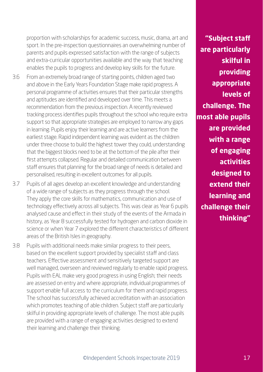proportion with scholarships for academic success, music, drama, art and sport. In the pre-inspection questionnaires an overwhelming number of parents and pupils expressed satisfaction with the range of subjects and extra-curricular opportunities available and the way that teaching enables the pupils to progress and develop key skills for the future.

- 3.6 From an extremely broad range of starting points, children aged two and above in the Early Years Foundation Stage make rapid progress. A personal programme of activities ensures that their particular strengths and aptitudes are identified and developed over time. This meets a recommendation from the previous inspection. A recently reviewed tracking process identifies pupils throughout the school who require extra support so that appropriate strategies are employed to narrow any gaps in learning. Pupils enjoy their learning and are active learners from the earliest stage. Rapid independent learning was evident as the children under three choose to build the highest tower they could, understanding that the biggest blocks need to be at the bottom of the pile after their first attempts collapsed. Regular and detailed communication between staff ensures that planning for the broad range of needs is detailed and personalised, resulting in excellent outcomes for all pupils.
- 3.7 Pupils of all ages develop an excellent knowledge and understanding of a wide range of subjects as they progress through the school. They apply the core skills for mathematics, communication and use of technology effectively across all subjects. This was clear as Year 6 pupils analysed cause and effect in their study of the events of the Armada in history, as Year 8 successfully tested for hydrogen and carbon dioxide in science or when Year 7 explored the different characteristics of different areas of the British Isles in geography.
- 3.8 Pupils with additional needs make similar progress to their peers, based on the excellent support provided by specialist staff and class teachers. Effective assessment and sensitively targeted support are well managed, overseen and reviewed regularly to enable rapid progress. Pupils with EAL make very good progress in using English; their needs are assessed on entry and where appropriate, individual programmes of support enable full access to the curriculum for them and rapid progress. The school has successfully achieved accreditation with an association which promotes teaching of able children. Subject staff are particularly skilful in providing appropriate levels of challenge. The most able pupils are provided with a range of engaging activities designed to extend their learning and challenge their thinking.

**"Subject staff are particularly skilful in providing appropriate levels of challenge. The most able pupils are provided with a range of engaging activities designed to extend their learning and challenge their thinking"**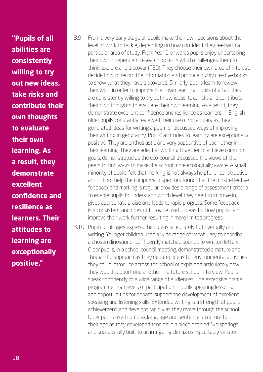**"Pupils of all abilities are consistently willing to try out new ideas, take risks and contribute their own thoughts to evaluate their own learning. As a result, they demonstrate excellent confidence and resilience as learners. Their attitudes to learning are exceptionally positive."**

- 3.9 From a very early stage all pupils make their own decisions about the level of work to tackle, depending on how confident they feel with a particular area of study. From Year 1 onwards pupils enjoy undertaking their own independent research projects which challenges them to think, explore and discover (TED). They choose their own area of interest, decide how to record the information and produce highly creative books to show what they have discovered. Similarly, pupils learn to review their work in order to improve their own learning. Pupils of all abilities are consistently willing to try out new ideas, take risks and contribute their own thoughts to evaluate their own learning. As a result, they demonstrate excellent confidence and resilience as learners. In English, older pupils constantly reviewed their use of vocabulary as they generated ideas for writing a poem or discussed ways of improving their writing in geography. Pupils' attitudes to learning are exceptionally positive. They are enthusiastic and very supportive of each other in their learning. They are adept at working together to achieve common goals, demonstrated as the eco-council discussed the views of their peers to find ways to make the school more ecologically aware. A small minority of pupils felt that marking is not always helpful or constructive and did not help them improve. Inspectors found that the most effective feedback and marking is regular, provides a range of assessment criteria to enable pupils to understand which level they need to improve in, gives appropriate praise and leads to rapid progress. Some feedback is inconsistent and does not provide useful ideas for how pupils can improve their work further, resulting in more limited progress.
- 3.10 Pupils of all ages express their ideas articulately both verbally and in writing. Younger children used a wide range of vocabulary to describe a chosen dinosaur or confidently matched sounds to written letters. Older pupils, in a school council meeting, demonstrated a mature and thoughtful approach as they debated ideas for environmental activities they could introduce across the school or explained articulately how they would support one another in a future school interview. Pupils speak confidently to a wide range of audiences. The extensive drama programme, high levels of participation in publicspeaking lessons, and opportunities for debate, support the development of excellent speaking and listening skills. Extended writing is a strength of pupils' achievement, and develops rapidly as they move through the school. Older pupils used complex language and sentence structure for their age as they developed tension in a piece entitled 'Whisperings' and successfully built to an intriguing climax using suitably sinister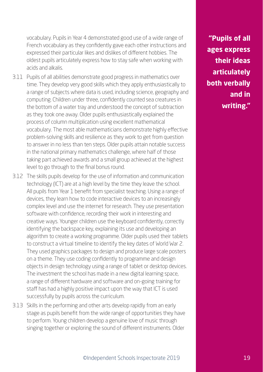vocabulary. Pupils in Year 4 demonstrated good use of a wide range of French vocabulary as they confidently gave each other instructions and expressed their particular likes and dislikes of different hobbies. The oldest pupils articulately express how to stay safe when working with acids and alkalis.

- 3.11 Pupils of all abilities demonstrate good progress in mathematics over time. They develop very good skills which they apply enthusiastically to a range of subjects where data is used, including science, geography and computing. Children under three, confidently counted sea creatures in the bottom of a water tray and understood the concept of subtraction as they took one away. Older pupils enthusiastically explained the process of column multiplication using excellent mathematical vocabulary. The most able mathematicians demonstrate highly effective problem-solving skills and resilience as they work to get from question to answer in no less than ten steps. Older pupils attain notable success in the national primary mathematics challenge, where half of those taking part achieved awards and a small group achieved at the highest level to go through to the final bonus round.
- 3.12 The skills pupils develop for the use of information and communication technology (ICT) are at a high level by the time they leave the school. All pupils from Year 1 benefit from specialist teaching. Using a range of devices, they learn how to code interactive devices to an increasingly complex level and use the internet for research. They use presentation software with confidence, recording their work in interesting and creative ways. Younger children use the keyboard confidently, correctly identifying the backspace key, explaining its use and developing an algorithm to create a working programme. Older pupils used their tablets to construct a virtual timeline to identify the key dates of World War 2. They used graphics packages to design and produce large scale posters on a theme. They use coding confidently to programme and design objects in design technology using a range of tablet or desktop devices. The investment the school has made in a new digital learning space, a range of different hardware and software and on-going training for staff has had a highly positive impact upon the way that ICT is used successfully by pupils across the curriculum.
- 3.13 Skills in the performing and other arts develop rapidly from an early stage as pupils benefit from the wide range of opportunities they have to perform. Young children develop a genuine love of music through singing together or exploring the sound of different instruments. Older

**"Pupils of all ages express their ideas articulately both verbally and in writing."**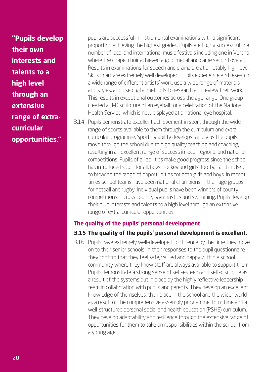**"Pupils develop their own interests and talents to a high level through an extensive range of extracurricular opportunities."**

pupils are successful in instrumental examinations with a significant proportion achieving the highest grades. Pupils are highly successful in a number of local and international music festivals including one in Verona where the chapel choir achieved a gold medal and came second overall. Results in examinations for speech and drama are at a notably high level. Skills in art are extremely well developed. Pupils experience and research a wide range of different artists' work, use a wide range of materials and styles, and use digital methods to research and review their work. This results in exceptional outcomes across the age range. One group created a 3-D sculpture of an eyeball for a celebration of the National Health Service, which is now displayed at a national eye hospital.

3.14 Pupils demonstrate excellent achievement in sport through the wide range of sports available to them through the curriculum and extracurricular programme. Sporting ability develops rapidly as the pupils move through the school due to high quality teaching and coaching, resulting in an excellent range of success in local, regional and national competitions. Pupils of all abilities make good progress since the school has introduced sport for all, boys' hockey and girls' football and cricket, to broaden the range of opportunities for both girls and boys. In recent times school teams have been national champions in their age groups for netball and rugby. Individual pupils have been winners of county competitions in cross country, gymnastics and swimming. Pupils develop their own interests and talents to a high level through an extensive range of extra-curricular opportunities.

#### **The quality of the pupils' personal development**

#### **3.15 The quality of the pupils' personal development is excellent.**

3.16 Pupils have extremely well-developed confidence by the time they move on to their senior schools. In their responses to the pupil questionnaire they confirm that they feel safe, valued and happy within a school community where they know staff are always available to support them. Pupils demonstrate a strong sense of self-esteem and self-discipline as a result of the systems put in place by the highly reflective leadership team in collaboration with pupils and parents. They develop an excellent knowledge of themselves, their place in the school and the wider world as a result of the comprehensive assembly programme, form time and a well-structured personal social and health education (PSHE) curriculum. They develop adaptability and resilience through the extensive range of opportunities for them to take on responsibilities within the school from a young age.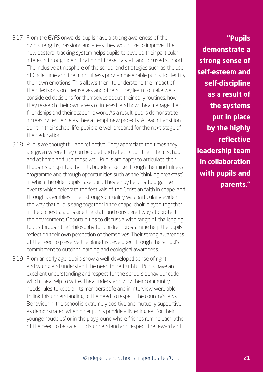- 3.17 From the EYFS onwards, pupils have a strong awareness of their own strengths, passions and areas they would like to improve. The new pastoral tracking system helps pupils to develop their particular interests through identification of these by staff and focused support. The inclusive atmosphere of the school and strategies such as the use of Circle Time and the mindfulness programme enable pupils to identify their own emotions. This allows them to understand the impact of their decisions on themselves and others. They learn to make wellconsidered decisions for themselves about their daily routines, how they research their own areas of interest, and how they manage their friendships and their academic work. As a result, pupils demonstrate increasing resilience as they attempt new projects. At each transition point in their school life, pupils are well prepared for the next stage of their education.
- 3.18 Pupils are thoughtful and reflective. They appreciate the times they are given where they can be quiet and reflect upon their life at school and at home and use these well. Pupils are happy to articulate their thoughts on spirituality in its broadest sense through the mindfulness programme and through opportunities such as the 'thinking breakfast' in which the older pupils take part. They enjoy helping to organise events which celebrate the festivals of the Christian faith in chapel and through assemblies. Their strong spirituality was particularly evident in the way that pupils sang together in the chapel choir, played together in the orchestra alongside the staff and considered ways to protect the environment. Opportunities to discuss a wide range of challenging topics through the 'Philosophy for Children' programme help the pupils reflect on their own perception of themselves. Their strong awareness of the need to preserve the planet is developed through the school's commitment to outdoor learning and ecological awareness.
- 3.19 From an early age, pupils show a well-developed sense of right and wrong and understand the need to be truthful. Pupils have an excellent understanding and respect for the school's behaviour code, which they help to write. They understand why their community needs rules to keep all its members safe and in interview were able to link this understanding to the need to respect the country's laws. Behaviour in the school is extremely positive and mutually supportive as demonstrated when older pupils provide a listening ear for their younger 'buddies' or in the playground where friends remind each other of the need to be safe. Pupils understand and respect the reward and

**"Pupils demonstrate a strong sense of self-esteem and self-discipline as a result of the systems put in place by the highly reflective leadership team in collaboration with pupils and parents."**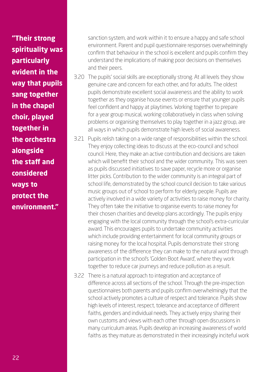**"Their strong spirituality was particularly evident in the way that pupils sang together in the chapel choir, played together in the orchestra alongside the staff and considered ways to protect the environment."**

sanction system, and work within it to ensure a happy and safe school environment. Parent and pupil questionnaire responses overwhelmingly confirm that behaviour in the school is excellent and pupils confirm they understand the implications of making poor decisions on themselves and their peers.

- 3.20 The pupils' social skills are exceptionally strong. At all levels they show genuine care and concern for each other, and for adults. The oldest pupils demonstrate excellent social awareness and the ability to work together as they organise house events or ensure that younger pupils feel confident and happy at playtimes. Working together to prepare for a year group musical, working collaboratively in class when solving problems or organising themselves to play together in a jazz group, are all ways in which pupils demonstrate high levels of social awareness.
- 3.21 Pupils relish taking on a wide range of responsibilities within the school. They enjoy collecting ideas to discuss at the eco-council and school council. Here, they make an active contribution and decisions are taken which will benefit their school and the wider community. This was seen as pupils discussed initiatives to save paper, recycle more or organise litter picks. Contribution to the wider community is an integral part of school life, demonstrated by the school council decision to take various music groups out of school to perform for elderly people. Pupils are actively involved in a wide variety of activities to raise money for charity. They often take the initiative to organise events to raise money for their chosen charities and develop plans accordingly. The pupils enjoy engaging with the local community through the school's extra-curricular award. This encourages pupils to undertake community activities which include providing entertainment for local community groups or raising money for the local hospital. Pupils demonstrate their strong awareness of the difference they can make to the natural word through participation in the school's 'Golden Boot Award', where they work together to reduce car journeys and reduce pollution as a result.

3.22 There is a natural approach to integration and acceptance of difference across all sections of the school. Through the pre-inspection questionnaires both parents and pupils confirm overwhelmingly that the school actively promotes a culture of respect and tolerance. Pupils show high levels of interest, respect, tolerance and acceptance of different faiths, genders and individual needs. They actively enjoy sharing their own customs and views with each other through open discussions in many curriculum areas. Pupils develop an increasing awareness of world faiths as they mature as demonstrated in their increasingly inciteful work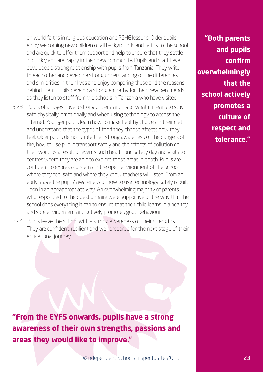on world faiths in religious education and PSHE lessons. Older pupils enjoy welcoming new children of all backgrounds and faiths to the school and are quick to offer them support and help to ensure that they settle in quickly and are happy in their new community. Pupils and staff have developed a strong relationship with pupils from Tanzania. They write to each other and develop a strong understanding of the differences and similarities in their lives and enjoy comparing these and the reasons behind them. Pupils develop a strong empathy for their new pen friends as they listen to staff from the schools in Tanzania who have visited.

- 3.23 Pupils of all ages have a strong understanding of what it means to stay safe physically, emotionally and when using technology to access the internet. Younger pupils learn how to make healthy choices in their diet and understand that the types of food they choose affects how they feel. Older pupils demonstrate their strong awareness of the dangers of fire, how to use public transport safely and the effects of pollution on their world as a result of events such health and safety day and visits to centres where they are able to explore these areas in depth. Pupils are confident to express concerns in the open environment of the school where they feel safe and where they know teachers will listen. From an early stage the pupils' awareness of how to use technology safely is built upon in an ageappropriate way. An overwhelming majority of parents who responded to the questionnaire were supportive of the way that the school does everything it can to ensure that their child learns in a healthy and safe environment and actively promotes good behaviour.
- 3.24 Pupils leave the school with a strong awareness of their strengths. They are confident, resilient and well prepared for the next stage of their educational journey.

**"From the EYFS onwards, pupils have a strong awareness of their own strengths, passions and areas they would like to improve."**

**"Both parents and pupils confirm overwhelmingly that the school actively promotes a culture of respect and tolerance."**